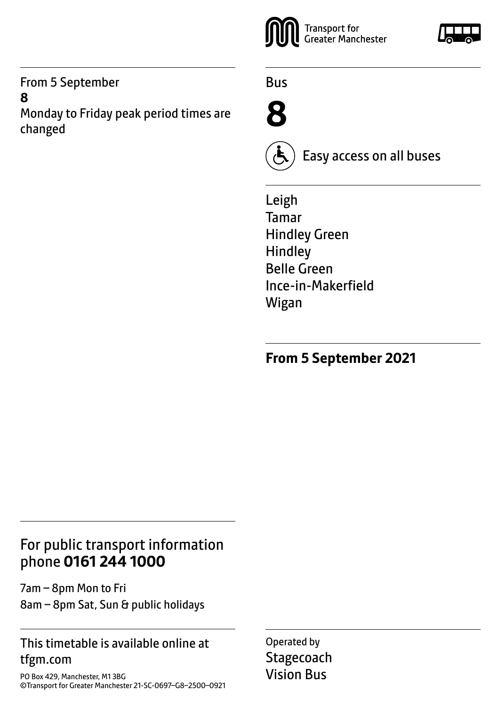#### From 5 September **8**

Monday to Friday peak period times are changed



Bus





Easy access on all buses

Leigh Tamar Hindley Green Hindley Belle Green Ince-in-Makerfield Wigan

**From 5 September 2021**

# For public transport information phone **0161 244 1000**

7am – 8pm Mon to Fri 8am – 8pm Sat, Sun & public holidays

### This timetable is available online at tfgm.com

PO Box 429, Manchester, M1 3BG ©Transport for Greater Manchester 21-SC-0697–G8–2500–0921 Operated by **Stagecoach** Vision Bus

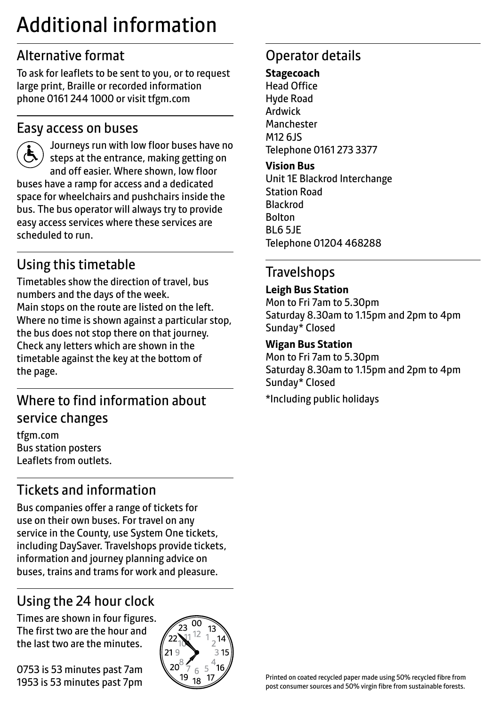# Additional information

# Alternative format

To ask for leaflets to be sent to you, or to request large print, Braille or recorded information phone 0161 244 1000 or visit tfgm.com

## Easy access on buses

 Journeys run with low floor buses have no steps at the entrance, making getting on and off easier. Where shown, low floor buses have a ramp for access and a dedicated space for wheelchairs and pushchairs inside the bus. The bus operator will always try to provide easy access services where these services are scheduled to run.

# Using this timetable

Timetables show the direction of travel, bus numbers and the days of the week. Main stops on the route are listed on the left. Where no time is shown against a particular stop, the bus does not stop there on that journey. Check any letters which are shown in the timetable against the key at the bottom of the page.

# Where to find information about service changes

tfgm.com Bus station posters Leaflets from outlets.

# Tickets and information

Bus companies offer a range of tickets for use on their own buses. For travel on any service in the County, use System One tickets, including DaySaver. Travelshops provide tickets, information and journey planning advice on buses, trains and trams for work and pleasure.

# Using the 24 hour clock

Times are shown in four figures. The first two are the hour and the last two are the minutes.

0753 is 53 minutes past 7am 1953 is 53 minutes past 7pm



# Operator details

#### **Stagecoach**

Head Office Hyde Road Ardwick **Manchester** M12 6JS Telephone 0161 273 3377

#### **Vision Bus**

Unit 1E Blackrod Interchange Station Road Blackrod Bolton BL6 5JE Telephone 01204 468288

# Travelshops

#### **Leigh Bus Station**

Mon to Fri 7am to 5.30pm Saturday 8.30am to 1.15pm and 2pm to 4pm Sunday\* Closed

#### **Wigan Bus Station**

Mon to Fri 7am to 5.30pm Saturday 8.30am to 1.15pm and 2pm to 4pm Sunday\* Closed \*Including public holidays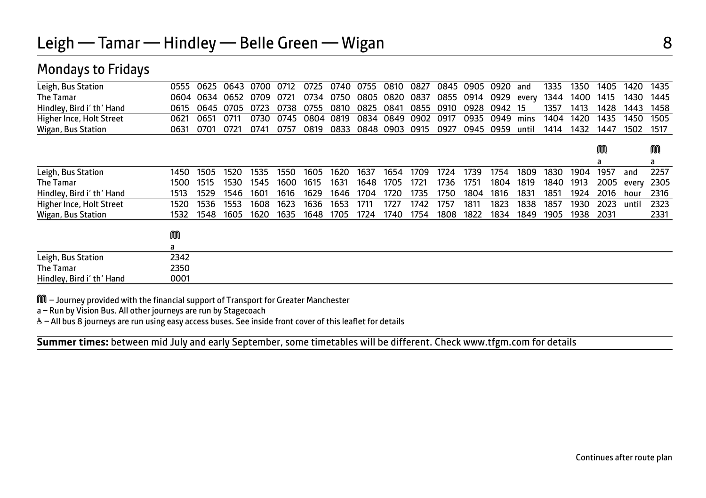| 0555 | 0625 |      | 0700         | 0712 | 0725 |      | 0755 |              | 0827         |                      |      | 0920 | and       | 1335        | 1350 | 1405 | 1420  | 1435 |
|------|------|------|--------------|------|------|------|------|--------------|--------------|----------------------|------|------|-----------|-------------|------|------|-------|------|
|      |      | 0652 | 0709         | 0721 | 0734 | 0750 |      |              | 0837         | 0855                 | 0914 | 0929 | every     | 1344        | 1400 | 1415 | 1430  | 1445 |
| 0615 |      | 0705 | 0723         | 0738 | 0755 | 0810 | 0825 | 0841         |              | 0910                 | 0928 |      |           | 1357        | 1413 | 1428 | 1443  | 1458 |
| 0621 | 0651 | 0711 | 0730         | 0745 | 0804 | 0819 | 0834 |              | 0902         | 0917                 | 0935 | 0949 | mins      | 1404        | 1420 | 1435 | 1450  | 1505 |
| 0631 | 0701 | 0721 | 0741         | 0757 | 0819 | 0833 |      |              | 0915         | 0927                 |      | 0959 | until     | 1414        | 1432 | 1447 | 1502  | 1517 |
|      |      |      |              |      |      |      |      |              |              |                      |      |      |           |             |      | M    |       | M    |
|      |      |      |              |      |      |      |      |              |              |                      |      |      |           |             |      | a    |       | a    |
| 1450 | 1505 | 1520 | 1535         | 1550 | 1605 | 1620 | 1637 | 1654         | 1709         | 1724                 | 1739 | 1754 | 1809      | 1830        | 1904 | 1957 | and   | 2257 |
| 1500 | 1515 | 1530 | 1545         | 1600 | 1615 | 1631 | 1648 | 1705         | 1721         | 1736                 | 1751 | 1804 | 1819      | 1840        | 1913 | 2005 | every | 2305 |
| 1513 | 1529 | 1546 | 1601         | 1616 | 1629 | 1646 | 1704 | 1720         | 1735         | 1750                 | 1804 | 1816 | 1831      | 1851        | 1924 | 2016 | hour  | 2316 |
| 1520 | 1536 | 1553 | 1608         | 1623 | 1636 | 1653 | 1711 | 1727         | 1742         | 1757                 | 1811 | 1823 | 1838      | 1857        | 1930 | 2023 | until | 2323 |
| 1532 | 1548 | 1605 | 1620         | 1635 | 1648 | 1705 | 1724 | 1740         | 1754         | 1808                 | 1822 | 1834 | 1849      | 1905        | 1938 | 2031 |       | 2331 |
| M    |      |      |              |      |      |      |      |              |              |                      |      |      |           |             |      |      |       |      |
| a    |      |      |              |      |      |      |      |              |              |                      |      |      |           |             |      |      |       |      |
| 2342 |      |      |              |      |      |      |      |              |              |                      |      |      |           |             |      |      |       |      |
| 2350 |      |      |              |      |      |      |      |              |              |                      |      |      |           |             |      |      |       |      |
| 0001 |      |      |              |      |      |      |      |              |              |                      |      |      |           |             |      |      |       |      |
|      |      | 0604 | 0634<br>0645 | 0643 |      |      |      | 0740<br>0805 | 0848<br>0903 | 0810<br>0820<br>0849 | 0855 | 0945 | 0845 0905 | 0942<br>-15 |      |      |       |      |

M – Journey provided with the financial support of Transport for Greater Manchester

a – Run by Vision Bus. All other journeys are run by Stagecoach

Mondays to Fridays

& - All bus 8 journeys are run using easy access buses. See inside front cover of this leaflet for details

 $\overline{a}$ **Summer times:** between mid July and early September, some timetables will be different. Check www.tfgm.com for details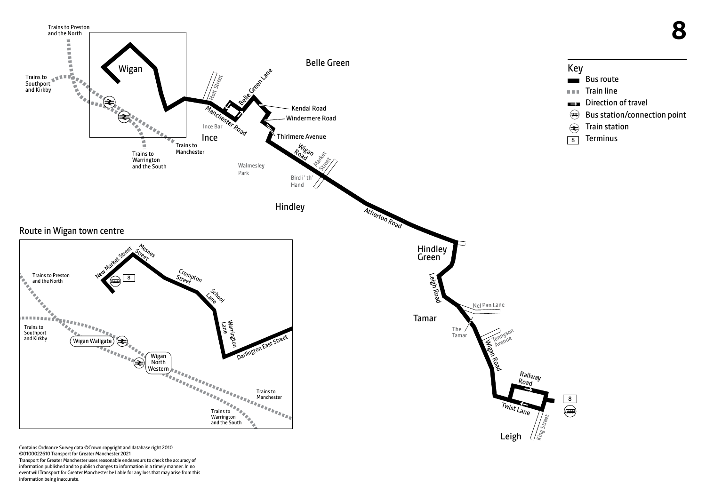

Contains Ordnance Survey data ©Crown copyright and database right 2010 ©0100022610 Transport for Greater Manchester 2021 Transport for Greater Manchester uses reasonable endeavours to check the accuracy of information published and to publish changes to information in a timely manner. In no event will Transport for Greater Manchester be liable for any loss that may arise from this information being inaccurate.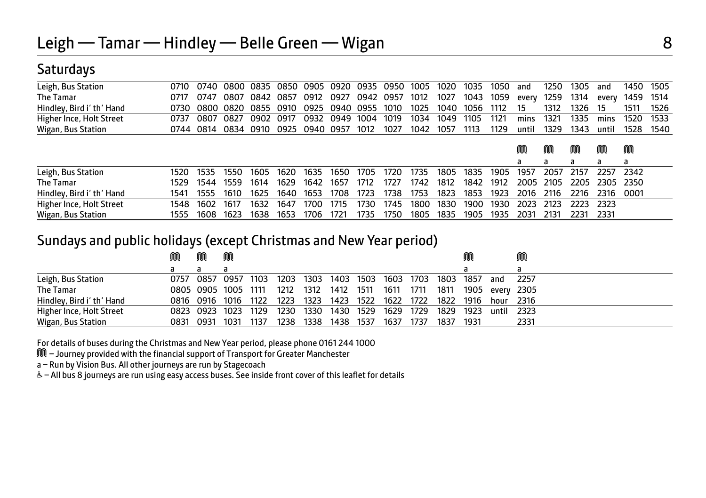### **Saturdays**

| Leigh, Bus Station        | 0710 | 0740           | - 0800 - 0835 |      | 0850 | 0905           | 0920 | 0935 | 0950 | 1005 | 1020 | 1035 | 1050 | and       | 1250      | 1305      | and       | 1450      | 1505 |
|---------------------------|------|----------------|---------------|------|------|----------------|------|------|------|------|------|------|------|-----------|-----------|-----------|-----------|-----------|------|
| The Tamar                 | 0717 | 0747           | 0807          | 0842 | 0857 | 0912           | 0927 | 0942 | 0957 | 1012 | 1027 | 1043 | 1059 | every     | 1259      | 1314      | every     | 1459      | 1514 |
| Hindley, Bird i' th' Hand | 0730 | 0800 0820 0855 |               |      | 0910 | 0925           | 0940 | 0955 | 1010 | 1025 | 1040 | 1056 | 1112 | 15        | 1312      | 1326      | 15        | 1511      | 1526 |
| Higher Ince, Holt Street  | 0737 | 0807           | 0827          | 0902 | 0917 | 0932           | 0949 | 1004 | 1019 | 1034 | 1049 | 1105 | 1121 | mins      | 1321      | 1335      | mins      | 1520      | 1533 |
| Wigan, Bus Station        |      | 0744 0814      | 0834 0910     |      |      | 0925 0940 0957 |      | 1012 | 1027 | 1042 | 1057 | 1113 | 1129 | until     | 1329      | 1343      | until     | 1528      | 1540 |
|                           |      |                |               |      |      |                |      |      |      |      |      |      |      | M         | M         | M         | M         | M         |      |
| Leigh, Bus Station        | 1520 | 1535           | 1550          | 1605 | 1620 | 1635           | 1650 | 1705 | 1720 | 1735 | 1805 | 1835 | 1905 | a<br>1957 | a<br>2057 | a<br>2157 | a<br>2257 | a<br>2342 |      |
| The Tamar                 | 1529 | 1544           | 1559          | 1614 | 1629 | 1642           | 1657 | 1712 | 1727 | 1742 | 1812 | 1842 | 1912 | 2005      | 2105      | 2205      | 2305 2350 |           |      |
| Hindley, Bird i' th' Hand | 1541 | 1555           | 1610          | 1625 | 1640 | 1653           | 1708 | 1723 | 1738 | 1753 | 1823 | 1853 | 1923 | 2016      | 2116      | 2216      | 2316      | 0001      |      |
| Higher Ince, Holt Street  | 1548 | 1602           | 1617          | 1632 | 1647 | 1700           | 1715 | 1730 | 1745 | 1800 | 1830 | 1900 | 1930 | 2023      | 2123      | 2223      | 2323      |           |      |
| Wigan, Bus Station        | 1555 | 1608           | 1623          | 1638 | 1653 | 1706           | 1721 | 1735 | 1750 | 1805 | 1835 | 1905 | 1935 | 2031      | 2131      | 2231      | 2331      |           |      |

#### Sundays and public holidays (except Christmas and New Year period)

|                           | ⋒         | M              | M                   |      |                                         |      |      |      |                |      |                               |      |                 | M      |
|---------------------------|-----------|----------------|---------------------|------|-----------------------------------------|------|------|------|----------------|------|-------------------------------|------|-----------------|--------|
|                           |           | a              |                     |      |                                         |      |      |      |                |      |                               |      |                 |        |
| Leigh, Bus Station        |           |                | 0757 0857 0957 1103 |      | 1203 1303 1403 1503 1603 1703 1803 1857 |      |      |      |                |      |                               |      | and             | - 2257 |
| <b>The Tamar</b>          |           |                | 0805 0905 1005 1111 |      | 1212 1312 1412                          |      |      |      | 1511 1611 1711 |      | 1811                          |      | 1905 every 2305 |        |
| Hindley, Bird i' th' Hand |           |                | 0816 0916 1016 1122 |      | 1223 1323                               |      | 1423 | 1522 |                |      | 1622 1722 1822 1916 hour 2316 |      |                 |        |
| Higher Ince, Holt Street  |           | 0823 0923 1023 |                     | 1129 | 1230                                    | 1330 | 1430 | 1529 | 1629           | 1729 | 1829                          | 1923 | until           | - 2323 |
| Wigan, Bus Station        | 0831 0931 |                | 1031                | 1137 | 1238                                    | 1338 | 1438 | 1537 | 1637           | 1737 | 1837                          | 1931 |                 | 2331   |

For details of buses during the Christmas and New Year period, please phone 0161 244 1000

M – Journey provided with the financial support of Transport for Greater Manchester

a – Run by Vision Bus. All other journeys are run by Stagecoach

W– All bus 8 journeys are run using easy access buses. See inside front cover of this leaflet for details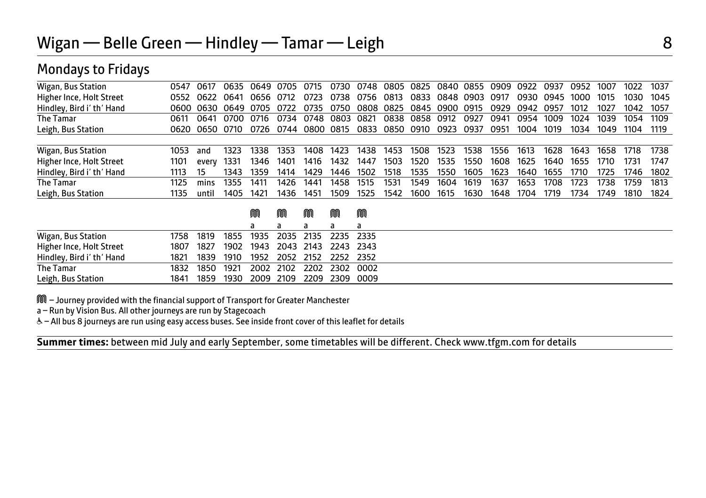| 0547 | 0617  |      |      | 0705                 | 0715 | 0730 |      |      |      |      |      | 0909                                        | 0922 | 0937 | 0952 | 1007 | 1022 | 1037 |
|------|-------|------|------|----------------------|------|------|------|------|------|------|------|---------------------------------------------|------|------|------|------|------|------|
| 0552 | 0622  | 0641 | 0656 | 0712                 | 0723 | 0738 | 0756 | 0813 | 0833 |      |      | 0917                                        | 0930 | 0945 | 1000 | 1015 | 1030 | 1045 |
| 0600 | 0630  |      | 0705 | 0722                 | 0735 | 0750 | 0808 | 0825 |      | 0900 | 0915 | 0929                                        | 0942 | 0957 | 1012 | 1027 | 1042 | 1057 |
| 0611 | 0641  | 0700 | 0716 | 0734                 | 0748 | 0803 | 0821 | 0838 | 0858 | 0912 | 0927 | 0941                                        | 0954 | 1009 | 1024 | 1039 | 1054 | 1109 |
| 0620 | 0650  | 0710 | 0726 | 0744                 |      | 0815 | 0833 |      | 0910 | 0923 | 0937 | 0951                                        | 1004 | 1019 | 1034 | 1049 | 1104 | 1119 |
|      |       |      |      |                      |      |      |      |      |      |      |      |                                             |      |      |      |      |      |      |
| 1053 | and   | 1323 | 1338 | 1353                 | 1408 | 1423 | 1438 | 1453 | 1508 | 1523 | 1538 | 1556                                        | 1613 | 1628 | 1643 | 1658 | 1718 | 1738 |
| 1101 | every | 1331 | 1346 | 1401                 | 1416 | 1432 | 1447 | 1503 | 1520 | 1535 | 1550 | 1608                                        | 1625 | 1640 | 1655 | 1710 | 1731 | 1747 |
| 1113 | 15    | 1343 | 1359 | 1414                 | 1429 | 1446 | 1502 | 1518 | 1535 | 1550 | 1605 | 1623                                        | 1640 | 1655 | 1710 | 1725 | 1746 | 1802 |
| 1125 | mins  | 1355 | 1411 | 1426                 | 1441 | 1458 | 1515 | 1531 | 1549 | 1604 | 1619 | 1637                                        | 1653 | 1708 | 1723 | 1738 | 1759 | 1813 |
| 1135 | until | 1405 | 1421 | 1436                 | 1451 | 1509 | 1525 | 1542 | 1600 | 1615 | 1630 | 1648                                        | 1704 | 1719 | 1734 | 1749 | 1810 | 1824 |
|      |       |      | M    | M                    | M    | m    | M    |      |      |      |      |                                             |      |      |      |      |      |      |
|      |       |      |      | a                    | a    | a    | a    |      |      |      |      |                                             |      |      |      |      |      |      |
| 1758 | 1819  | 1855 | 1935 | 2035                 | 2135 | 2235 | 2335 |      |      |      |      |                                             |      |      |      |      |      |      |
| 1807 | 1827  | 1902 | 1943 | 2043                 | 2143 | 2243 | 2343 |      |      |      |      |                                             |      |      |      |      |      |      |
| 1821 | 1839  | 1910 | 1952 | 2052                 | 2152 | 2252 | 2352 |      |      |      |      |                                             |      |      |      |      |      |      |
| 1832 | 1850  | 1921 | 2002 | 2102                 | 2202 | 2302 | 0002 |      |      |      |      |                                             |      |      |      |      |      |      |
|      |       |      |      | 0649<br>0635<br>0649 |      |      | 0800 |      |      | 0850 | 0845 | 0748 0805 0825 0840<br>0855<br>0848<br>0903 |      |      |      |      |      |      |

M – Journey provided with the financial support of Transport for Greater Manchester

Leigh, Bus Station 1841 1859 1930 2009 2109 2209 2309 0009

a – Run by Vision Bus. All other journeys are run by Stagecoach

Mondays to Fridays

W– All bus 8 journeys are run using easy access buses. See inside front cover of this leaflet for details

 $\overline{a}$ **Summer times:** between mid July and early September, some timetables will be different. Check www.tfgm.com for details